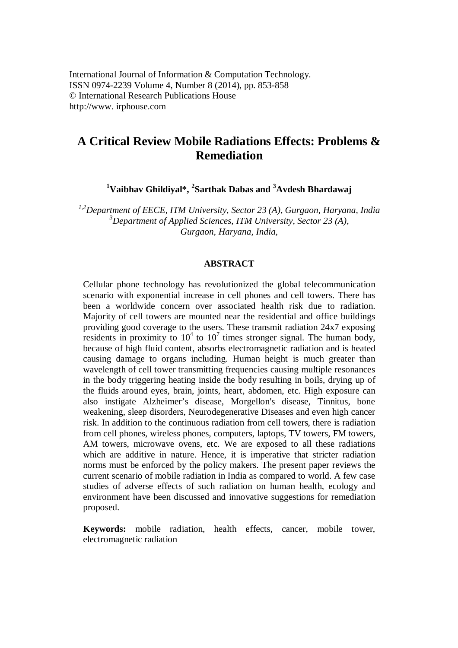# **A Critical Review Mobile Radiations Effects: Problems & Remediation**

**<sup>1</sup>Vaibhav Ghildiyal\*, <sup>2</sup> Sarthak Dabas and <sup>3</sup>Avdesh Bhardawaj**

*1,2Department of EECE, ITM University, Sector 23 (A), Gurgaon, Haryana, India <sup>3</sup>Department of Applied Sciences, ITM University, Sector 23 (A), Gurgaon, Haryana, India,*

#### **ABSTRACT**

Cellular phone technology has revolutionized the global telecommunication scenario with exponential increase in cell phones and cell towers. There has been a worldwide concern over associated health risk due to radiation. Majority of cell towers are mounted near the residential and office buildings providing good coverage to the users. These transmit radiation 24x7 exposing residents in proximity to  $10^4$  to  $10^7$  times stronger signal. The human body, because of high fluid content, absorbs electromagnetic radiation and is heated causing damage to organs including. Human height is much greater than wavelength of cell tower transmitting frequencies causing multiple resonances in the body triggering heating inside the body resulting in boils, drying up of the fluids around eyes, brain, joints, heart, abdomen, etc. High exposure can also instigate Alzheimer's disease, Morgellon's disease, Tinnitus, bone weakening, sleep disorders, Neurodegenerative Diseases and even high cancer risk. In addition to the continuous radiation from cell towers, there is radiation from cell phones, wireless phones, computers, laptops, TV towers, FM towers, AM towers, microwave ovens, etc. We are exposed to all these radiations which are additive in nature. Hence, it is imperative that stricter radiation norms must be enforced by the policy makers. The present paper reviews the current scenario of mobile radiation in India as compared to world. A few case studies of adverse effects of such radiation on human health, ecology and environment have been discussed and innovative suggestions for remediation proposed.

**Keywords:** mobile radiation, health effects, cancer, mobile tower, electromagnetic radiation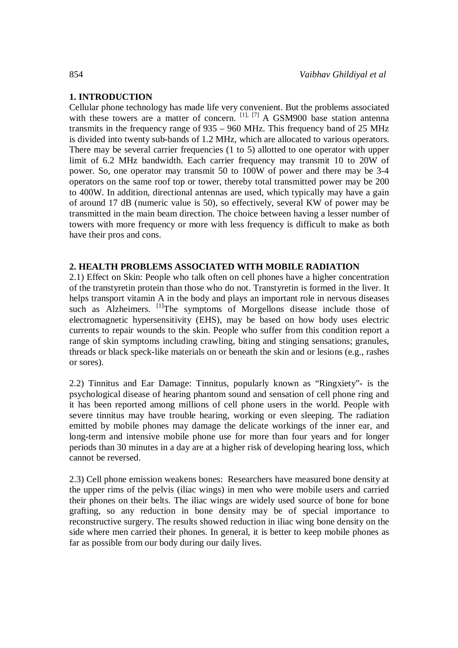## **1. INTRODUCTION**

Cellular phone technology has made life very convenient. But the problems associated with these towers are a matter of concern. <sup>[1], [7]</sup> A GSM900 base station antenna transmits in the frequency range of 935 – 960 MHz. This frequency band of 25 MHz is divided into twenty sub-bands of 1.2 MHz, which are allocated to various operators. There may be several carrier frequencies (1 to 5) allotted to one operator with upper limit of 6.2 MHz bandwidth. Each carrier frequency may transmit 10 to 20W of power. So, one operator may transmit 50 to 100W of power and there may be 3-4 operators on the same roof top or tower, thereby total transmitted power may be 200 to 400W. In addition, directional antennas are used, which typically may have a gain of around 17 dB (numeric value is 50), so effectively, several KW of power may be transmitted in the main beam direction. The choice between having a lesser number of towers with more frequency or more with less frequency is difficult to make as both have their pros and cons.

## **2. HEALTH PROBLEMS ASSOCIATED WITH MOBILE RADIATION**

2.1) Effect on Skin: People who talk often on cell phones have a higher concentration of the transtyretin protein than those who do not. Transtyretin is formed in the liver. It helps transport vitamin A in the body and plays an important role in nervous diseases such as Alzheimers. <sup>[1]</sup>The symptoms of Morgellons disease include those of electromagnetic hypersensitivity (EHS), may be based on how body uses electric currents to repair wounds to the skin. People who suffer from this condition report a range of skin symptoms including crawling, biting and stinging sensations; granules, threads or black speck-like materials on or beneath the skin and or lesions (e.g., rashes or sores).

2.2) Tinnitus and Ear Damage: Tinnitus, popularly known as "Ringxiety"- is the psychological disease of hearing phantom sound and sensation of cell phone ring and it has been reported among millions of cell phone users in the world. People with severe tinnitus may have trouble hearing, working or even sleeping. The radiation emitted by mobile phones may damage the delicate workings of the inner ear, and long-term and intensive mobile phone use for more than four years and for longer periods than 30 minutes in a day are at a higher risk of developing hearing loss, which cannot be reversed.

2.3) Cell phone emission weakens bones: Researchers have measured bone density at the upper rims of the pelvis (iliac wings) in men who were mobile users and carried their phones on their belts. The iliac wings are widely used source of bone for bone grafting, so any reduction in bone density may be of special importance to reconstructive surgery. The results showed reduction in iliac wing bone density on the side where men carried their phones. In general, it is better to keep mobile phones as far as possible from our body during our daily lives.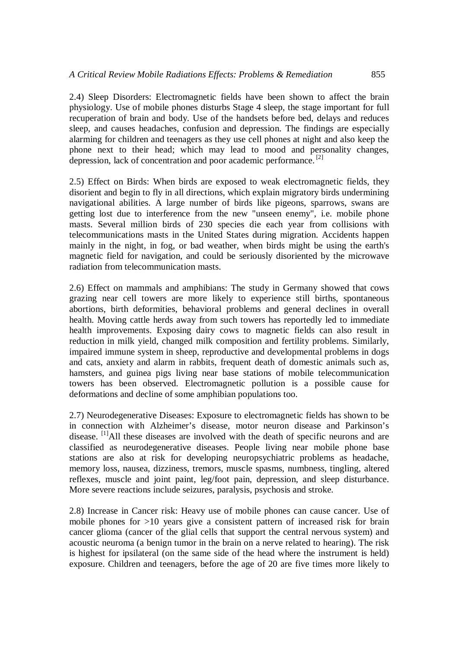2.4) Sleep Disorders: Electromagnetic fields have been shown to affect the brain physiology. Use of mobile phones disturbs Stage 4 sleep, the stage important for full recuperation of brain and body. Use of the handsets before bed, delays and reduces sleep, and causes headaches, confusion and depression. The findings are especially alarming for children and teenagers as they use cell phones at night and also keep the phone next to their head; which may lead to mood and personality changes, depression, lack of concentration and poor academic performance.<sup>[2]</sup>

2.5) Effect on Birds: When birds are exposed to weak electromagnetic fields, they disorient and begin to fly in all directions, which explain migratory birds undermining navigational abilities. A large number of birds like pigeons, sparrows, swans are getting lost due to interference from the new "unseen enemy", i.e. mobile phone masts. Several million birds of 230 species die each year from collisions with telecommunications masts in the United States during migration. Accidents happen mainly in the night, in fog, or bad weather, when birds might be using the earth's magnetic field for navigation, and could be seriously disoriented by the microwave radiation from telecommunication masts.

2.6) Effect on mammals and amphibians: The study in Germany showed that cows grazing near cell towers are more likely to experience still births, spontaneous abortions, birth deformities, behavioral problems and general declines in overall health. Moving cattle herds away from such towers has reportedly led to immediate health improvements. Exposing dairy cows to magnetic fields can also result in reduction in milk yield, changed milk composition and fertility problems. Similarly, impaired immune system in sheep, reproductive and developmental problems in dogs and cats, anxiety and alarm in rabbits, frequent death of domestic animals such as, hamsters, and guinea pigs living near base stations of mobile telecommunication towers has been observed. Electromagnetic pollution is a possible cause for deformations and decline of some amphibian populations too.

2.7) Neurodegenerative Diseases: Exposure to electromagnetic fields has shown to be in connection with Alzheimer's disease, motor neuron disease and Parkinson's disease. <sup>[1]</sup>All these diseases are involved with the death of specific neurons and are classified as neurodegenerative diseases. People living near mobile phone base stations are also at risk for developing neuropsychiatric problems as headache, memory loss, nausea, dizziness, tremors, muscle spasms, numbness, tingling, altered reflexes, muscle and joint paint, leg/foot pain, depression, and sleep disturbance. More severe reactions include seizures, paralysis, psychosis and stroke.

2.8) Increase in Cancer risk: Heavy use of mobile phones can cause cancer. Use of mobile phones for >10 years give a consistent pattern of increased risk for brain cancer glioma (cancer of the glial cells that support the central nervous system) and acoustic neuroma (a benign tumor in the brain on a nerve related to hearing). The risk is highest for ipsilateral (on the same side of the head where the instrument is held) exposure. Children and teenagers, before the age of 20 are five times more likely to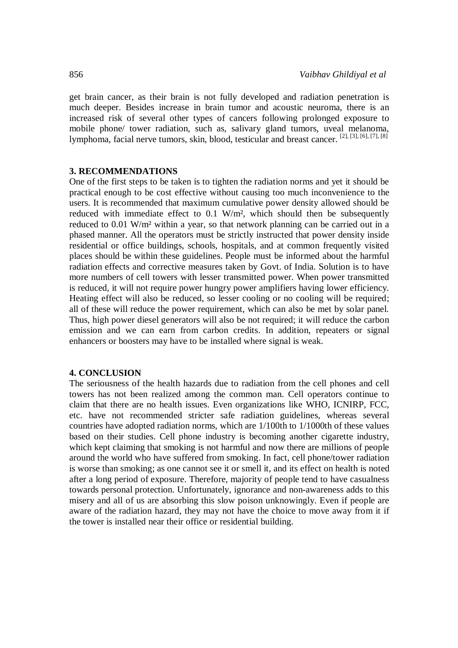get brain cancer, as their brain is not fully developed and radiation penetration is much deeper. Besides increase in brain tumor and acoustic neuroma, there is an increased risk of several other types of cancers following prolonged exposure to mobile phone/ tower radiation, such as, salivary gland tumors, uveal melanoma, lymphoma, facial nerve tumors, skin, blood, testicular and breast cancer. [2], [3], [6], [7], [8]

#### **3. RECOMMENDATIONS**

One of the first steps to be taken is to tighten the radiation norms and yet it should be practical enough to be cost effective without causing too much inconvenience to the users. It is recommended that maximum cumulative power density allowed should be reduced with immediate effect to 0.1 W/m², which should then be subsequently reduced to 0.01 W/m² within a year, so that network planning can be carried out in a phased manner. All the operators must be strictly instructed that power density inside residential or office buildings, schools, hospitals, and at common frequently visited places should be within these guidelines. People must be informed about the harmful radiation effects and corrective measures taken by Govt. of India. Solution is to have more numbers of cell towers with lesser transmitted power. When power transmitted is reduced, it will not require power hungry power amplifiers having lower efficiency. Heating effect will also be reduced, so lesser cooling or no cooling will be required; all of these will reduce the power requirement, which can also be met by solar panel. Thus, high power diesel generators will also be not required; it will reduce the carbon emission and we can earn from carbon credits. In addition, repeaters or signal enhancers or boosters may have to be installed where signal is weak.

#### **4. CONCLUSION**

The seriousness of the health hazards due to radiation from the cell phones and cell towers has not been realized among the common man. Cell operators continue to claim that there are no health issues. Even organizations like WHO, ICNIRP, FCC, etc. have not recommended stricter safe radiation guidelines, whereas several countries have adopted radiation norms, which are 1/100th to 1/1000th of these values based on their studies. Cell phone industry is becoming another cigarette industry, which kept claiming that smoking is not harmful and now there are millions of people around the world who have suffered from smoking. In fact, cell phone/tower radiation is worse than smoking; as one cannot see it or smell it, and its effect on health is noted after a long period of exposure. Therefore, majority of people tend to have casualness towards personal protection. Unfortunately, ignorance and non-awareness adds to this misery and all of us are absorbing this slow poison unknowingly. Even if people are aware of the radiation hazard, they may not have the choice to move away from it if the tower is installed near their office or residential building.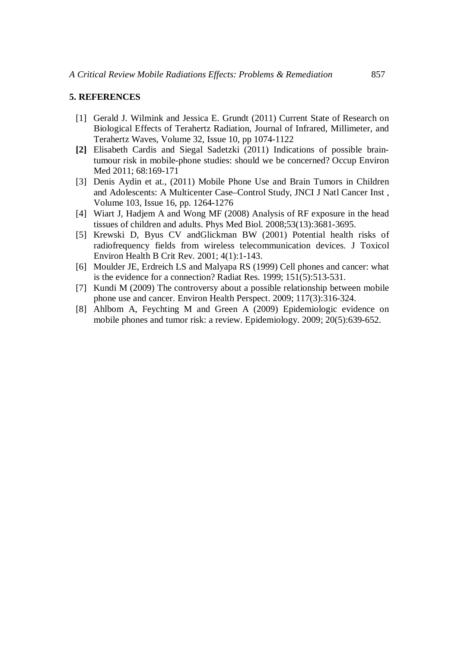### **5. REFERENCES**

- [1] Gerald J. Wilmink and Jessica E. Grundt (2011) Current State of Research on Biological Effects of Terahertz Radiation, Journal of Infrared, Millimeter, and Terahertz Waves, Volume 32, Issue 10, pp 1074-1122
- **[2]** Elisabeth Cardis and Siegal Sadetzki (2011) Indications of possible braintumour risk in mobile-phone studies: should we be concerned? Occup Environ Med 2011; 68:169-171
- [3] Denis Aydin et at., (2011) Mobile Phone Use and Brain Tumors in Children and Adolescents: A Multicenter Case–Control Study, JNCI J Natl Cancer Inst , Volume 103, Issue 16, pp. 1264-1276
- [4] Wiart J, Hadjem A and Wong MF (2008) Analysis of RF exposure in the head tissues of children and adults. Phys Med Biol. 2008;53(13):3681-3695.
- [5] Krewski D, Byus CV andGlickman BW (2001) Potential health risks of radiofrequency fields from wireless telecommunication devices. J Toxicol Environ Health B Crit Rev. 2001; 4(1):1-143.
- [6] Moulder JE, Erdreich LS and Malyapa RS (1999) Cell phones and cancer: what is the evidence for a connection? Radiat Res. 1999; 151(5):513-531.
- [7] Kundi M (2009) The controversy about a possible relationship between mobile phone use and cancer. Environ Health Perspect. 2009; 117(3):316-324.
- [8] Ahlbom A, Feychting M and Green A (2009) Epidemiologic evidence on mobile phones and tumor risk: a review. Epidemiology. 2009; 20(5):639-652.